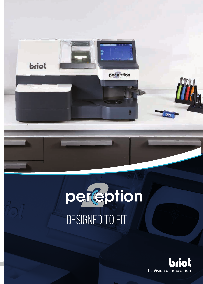



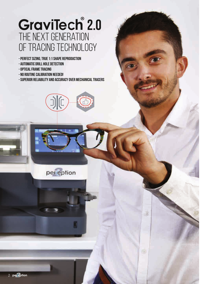## GraviTech<sup>®</sup> 2.0 THE NEXT GENERATION of Tracing Technology

- **Perfect Sizing, True 1:1 Shape Reproduction**
- **Automatic Drill Hole Detection**
- **Optical Frame Tracing**
- **No Routine Calibration Needed!**
- **Superior Reliability and Accuracy over Mechanical Tracers**





đ.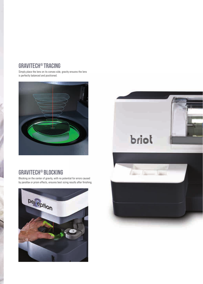## **GraviTech® Tracing**

Simply place the lens on its convex side, gravity ensures the lens is perfectly balanced and positioned.



## **GraviTech® Blocking**

Blocking on the center of gravity, with no potential for errors caused by parallax or prism effects, ensures best sizing results after finishing.



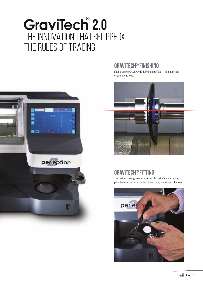# GraviTech<sup>®</sup> 2.0 The Innovation that «Flipped» the rules of Tracing.



## **GraviTech® Finishing**

Edging on the Gravity Axis delivers a perfect 1:1 reproduction of your demo lens.



## **GraviTech® Fitting**

The first technology to offer a perfect fit that eliminates many potential errors induced by lens base curve, shape, and the user.

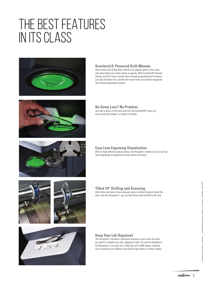# THE BEST FEATURES IN ITS CLASS













#### **Gravitech® Powered Drill-Mounts**

Never before has drilling been offered in an edging system in this class, and never before has it been easier to operate. With Gravitech® Powered Tracing, you don't have to waste time manually programming drill-mounts, just scan the demo lens, and the drill mount holes are instantly recognized with minimal adjustment needed.

#### **No Demo Lens? No Problem.**

Just take a photo of the frame and with the GraviTech(R) Tracer you will recreate the shape in a matter of seconds.

#### **Easy Lens Engraving Visualization**

With its high definition optical camera, the Perception 2 makes sure you will see laser engravings on progressive lenses clearly and easily.

#### **Tilted 10° Drilling and Grooving**

Add rimless and semi-rimless eyewear options without having to break the bank, with the Perception 2, you can kick those costly lab bills to the curb.

#### **Keep Your Lab Organized**

The Perception 2 includes a convenient accessory tray to store the tools you need to complete your jobs. Speaking of jobs, the internal database of the Perception 2 can store up to 2,000 jobs and 10,000 shapes, allowing you to maximize your efficiency and build a huge library of rimless shapes.